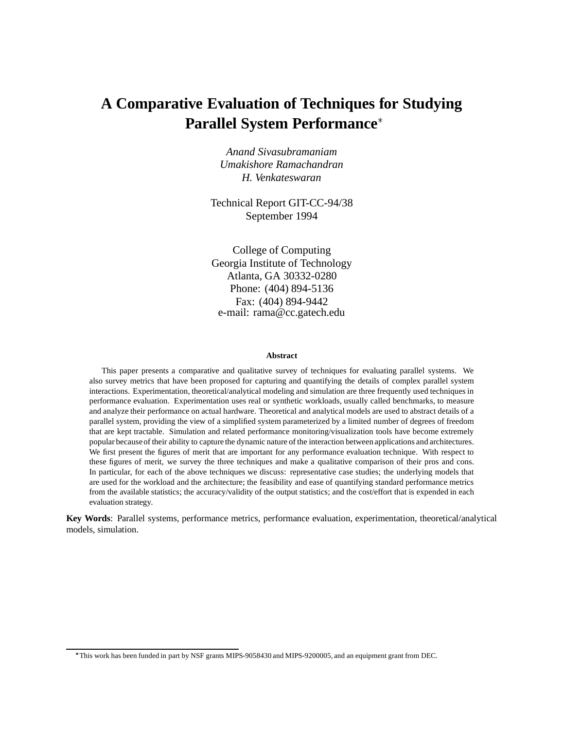# **A Comparative Evaluation of Techniques for Studying Parallel System Performance**

*Anand Sivasubramaniam Umakishore Ramachandran H. Venkateswaran*

Technical Report GIT-CC-94/38 September 1994

College of Computing Georgia Institute of Technology Atlanta, GA 30332-0280 Phone: (404) 894-5136 Fax: (404) 894-9442 e-mail: rama@cc.gatech.edu

#### **Abstract**

This paper presents a comparative and qualitative survey of techniques for evaluating parallel systems. We also survey metrics that have been proposed for capturing and quantifying the details of complex parallel system interactions. Experimentation, theoretical/analytical modeling and simulation are three frequently used techniques in performance evaluation. Experimentation uses real or synthetic workloads, usually called benchmarks, to measure and analyze their performance on actual hardware. Theoretical and analytical models are used to abstract details of a parallel system, providing the view of a simplified system parameterized by a limited number of degrees of freedom that are kept tractable. Simulation and related performance monitoring/visualization tools have become extremely popular becauseof their ability to capture the dynamic nature of the interaction between applications and architectures. We first present the figures of merit that are important for any performance evaluation technique. With respect to these figures of merit, we survey the three techniques and make a qualitative comparison of their pros and cons. In particular, for each of the above techniques we discuss: representative case studies; the underlying models that are used for the workload and the architecture; the feasibility and ease of quantifying standard performance metrics from the available statistics; the accuracy/validity of the output statistics; and the cost/effort that is expended in each evaluation strategy.

**Key Words**: Parallel systems, performance metrics, performance evaluation, experimentation, theoretical/analytical models, simulation.

This work has been funded in part by NSF grants MIPS-9058430 and MIPS-9200005, and an equipment grant from DEC.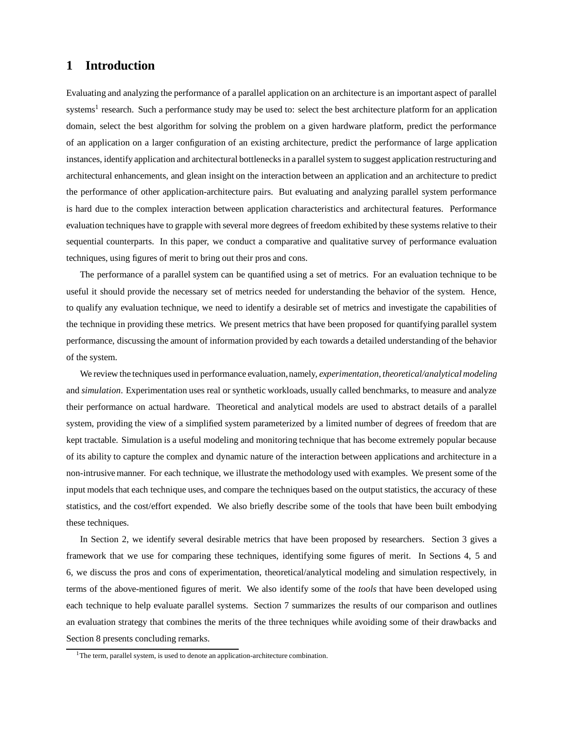# **1 Introduction**

Evaluating and analyzing the performance of a parallel application on an architecture is an important aspect of parallel systems<sup>1</sup> research. Such a performance study may be used to: select the best architecture platform for an application domain, select the best algorithm for solving the problem on a given hardware platform, predict the performance of an application on a larger configuration of an existing architecture, predict the performance of large application instances, identify application and architectural bottlenecks in a parallel system to suggest application restructuring and architectural enhancements, and glean insight on the interaction between an application and an architecture to predict the performance of other application-architecture pairs. But evaluating and analyzing parallel system performance is hard due to the complex interaction between application characteristics and architectural features. Performance evaluation techniques have to grapple with several more degrees of freedom exhibited by these systems relative to their sequential counterparts. In this paper, we conduct a comparative and qualitative survey of performance evaluation techniques, using figures of merit to bring out their pros and cons.

The performance of a parallel system can be quantified using a set of metrics. For an evaluation technique to be useful it should provide the necessary set of metrics needed for understanding the behavior of the system. Hence, to qualify any evaluation technique, we need to identify a desirable set of metrics and investigate the capabilities of the technique in providing these metrics. We present metrics that have been proposed for quantifying parallel system performance, discussing the amount of information provided by each towards a detailed understanding of the behavior of the system.

We review the techniques used in performance evaluation, namely, *experimentation*, *theoretical/analytical modeling* and *simulation*. Experimentation uses real or synthetic workloads, usually called benchmarks, to measure and analyze their performance on actual hardware. Theoretical and analytical models are used to abstract details of a parallel system, providing the view of a simplified system parameterized by a limited number of degrees of freedom that are kept tractable. Simulation is a useful modeling and monitoring technique that has become extremely popular because of its ability to capture the complex and dynamic nature of the interaction between applications and architecture in a non-intrusive manner. For each technique, we illustrate the methodology used with examples. We present some of the input models that each technique uses, and compare the techniques based on the output statistics, the accuracy of these statistics, and the cost/effort expended. We also briefly describe some of the tools that have been built embodying these techniques.

In Section 2, we identify several desirable metrics that have been proposed by researchers. Section 3 gives a framework that we use for comparing these techniques, identifying some figures of merit. In Sections 4, 5 and 6, we discuss the pros and cons of experimentation, theoretical/analytical modeling and simulation respectively, in terms of the above-mentioned figures of merit. We also identify some of the *tools* that have been developed using each technique to help evaluate parallel systems. Section 7 summarizes the results of our comparison and outlines an evaluation strategy that combines the merits of the three techniques while avoiding some of their drawbacks and Section 8 presents concluding remarks.

 $1$ The term, parallel system, is used to denote an application-architecture combination.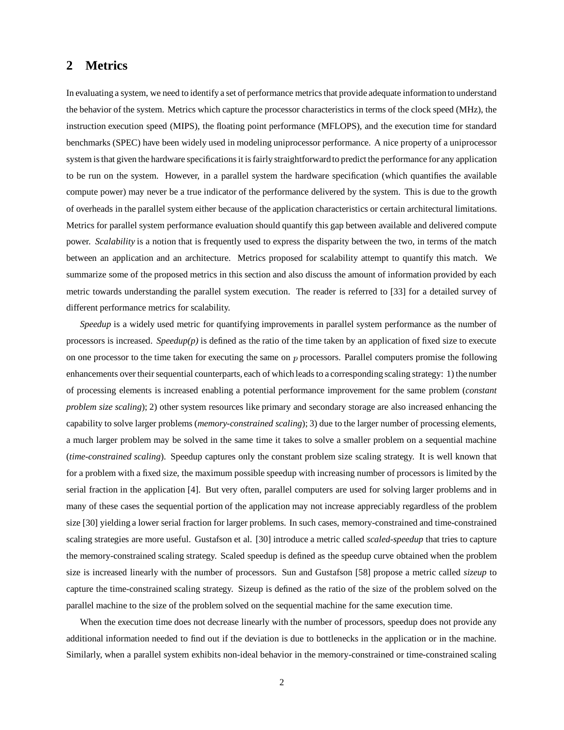# **2 Metrics**

In evaluating a system, we need to identify a set of performance metricsthat provide adequate informationto understand the behavior of the system. Metrics which capture the processor characteristics in terms of the clock speed (MHz), the instruction execution speed (MIPS), the floating point performance (MFLOPS), and the execution time for standard benchmarks (SPEC) have been widely used in modeling uniprocessor performance. A nice property of a uniprocessor system is that given the hardware specifications it is fairly straightforward to predict the performance for any application to be run on the system. However, in a parallel system the hardware specification (which quantifies the available compute power) may never be a true indicator of the performance delivered by the system. This is due to the growth of overheads in the parallel system either because of the application characteristics or certain architectural limitations. Metrics for parallel system performance evaluation should quantify this gap between available and delivered compute power. *Scalability* is a notion that is frequently used to express the disparity between the two, in terms of the match between an application and an architecture. Metrics proposed for scalability attempt to quantify this match. We summarize some of the proposed metrics in this section and also discuss the amount of information provided by each metric towards understanding the parallel system execution. The reader is referred to [33] for a detailed survey of different performance metrics for scalability.

*Speedup* is a widely used metric for quantifying improvements in parallel system performance as the number of processors is increased. *Speedup(p)* is defined as the ratio of the time taken by an application of fixed size to execute on one processor to the time taken for executing the same on p processors. Parallel computers promise the following enhancements over their sequential counterparts, each of which leads to a corresponding scaling strategy: 1) the number of processing elements is increased enabling a potential performance improvement for the same problem (*constant problem size scaling*); 2) other system resources like primary and secondary storage are also increased enhancing the capability to solve larger problems (*memory-constrained scaling*); 3) due to the larger number of processing elements, a much larger problem may be solved in the same time it takes to solve a smaller problem on a sequential machine (*time-constrained scaling*). Speedup captures only the constant problem size scaling strategy. It is well known that for a problem with a fixed size, the maximum possible speedup with increasing number of processors is limited by the serial fraction in the application [4]. But very often, parallel computers are used for solving larger problems and in many of these cases the sequential portion of the application may not increase appreciably regardless of the problem size [30] yielding a lower serial fraction for larger problems. In such cases, memory-constrained and time-constrained scaling strategies are more useful. Gustafson et al. [30] introduce a metric called *scaled-speedup* that tries to capture the memory-constrained scaling strategy. Scaled speedup is defined as the speedup curve obtained when the problem size is increased linearly with the number of processors. Sun and Gustafson [58] propose a metric called *sizeup* to capture the time-constrained scaling strategy. Sizeup is defined as the ratio of the size of the problem solved on the parallel machine to the size of the problem solved on the sequential machine for the same execution time.

When the execution time does not decrease linearly with the number of processors, speedup does not provide any additional information needed to find out if the deviation is due to bottlenecks in the application or in the machine. Similarly, when a parallel system exhibits non-ideal behavior in the memory-constrained or time-constrained scaling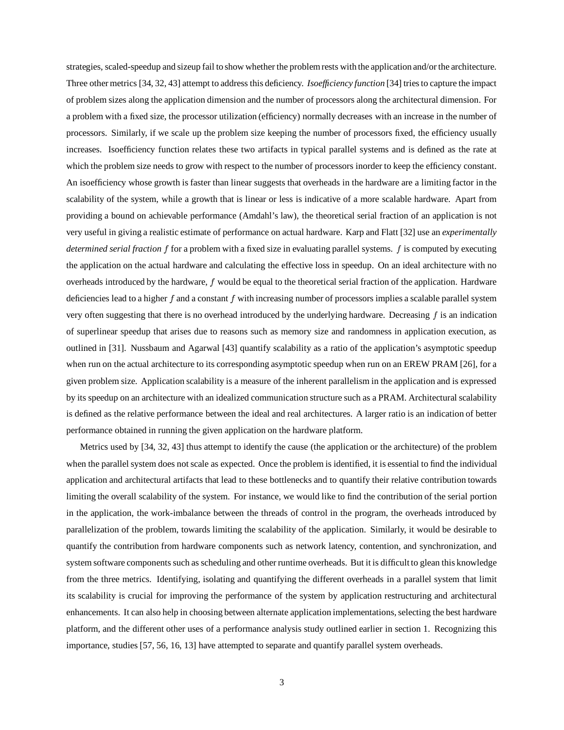strategies, scaled-speedup and sizeup fail to show whether the problemrests with the application and/or the architecture. Three other metrics [34, 32, 43] attempt to address this deficiency. *Isoefficiency function* [34] triesto capture the impact of problem sizes along the application dimension and the number of processors along the architectural dimension. For a problem with a fixed size, the processor utilization (efficiency) normally decreases with an increase in the number of processors. Similarly, if we scale up the problem size keeping the number of processors fixed, the efficiency usually increases. Isoefficiency function relates these two artifacts in typical parallel systems and is defined as the rate at which the problem size needs to grow with respect to the number of processors inorder to keep the efficiency constant. An isoefficiency whose growth is faster than linear suggests that overheads in the hardware are a limiting factor in the scalability of the system, while a growth that is linear or less is indicative of a more scalable hardware. Apart from providing a bound on achievable performance (Amdahl's law), the theoretical serial fraction of an application is not very useful in giving a realistic estimate of performance on actual hardware. Karp and Flatt [32] use an *experimentally determined serial fraction* f for a problem with a fixed size in evaluating parallel systems. f is computed by executing the application on the actual hardware and calculating the effective loss in speedup. On an ideal architecture with no overheads introduced by the hardware,  $f$  would be equal to the theoretical serial fraction of the application. Hardware deficiencies lead to a higher  $f$  and a constant  $f$  with increasing number of processors implies a scalable parallel system very often suggesting that there is no overhead introduced by the underlying hardware. Decreasing  $f$  is an indication of superlinear speedup that arises due to reasons such as memory size and randomness in application execution, as outlined in [31]. Nussbaum and Agarwal [43] quantify scalability as a ratio of the application's asymptotic speedup when run on the actual architecture to its corresponding asymptotic speedup when run on an EREW PRAM [26], for a given problem size. Application scalability is a measure of the inherent parallelism in the application and is expressed by its speedup on an architecture with an idealized communication structure such as a PRAM. Architectural scalability is defined as the relative performance between the ideal and real architectures. A larger ratio is an indication of better performance obtained in running the given application on the hardware platform.

Metrics used by [34, 32, 43] thus attempt to identify the cause (the application or the architecture) of the problem when the parallel system does not scale as expected. Once the problem is identified, it is essential to find the individual application and architectural artifacts that lead to these bottlenecks and to quantify their relative contribution towards limiting the overall scalability of the system. For instance, we would like to find the contribution of the serial portion in the application, the work-imbalance between the threads of control in the program, the overheads introduced by parallelization of the problem, towards limiting the scalability of the application. Similarly, it would be desirable to quantify the contribution from hardware components such as network latency, contention, and synchronization, and system software components such as scheduling and other runtime overheads. But it is difficult to glean this knowledge from the three metrics. Identifying, isolating and quantifying the different overheads in a parallel system that limit its scalability is crucial for improving the performance of the system by application restructuring and architectural enhancements. It can also help in choosing between alternate application implementations, selecting the best hardware platform, and the different other uses of a performance analysis study outlined earlier in section 1. Recognizing this importance, studies [57, 56, 16, 13] have attempted to separate and quantify parallel system overheads.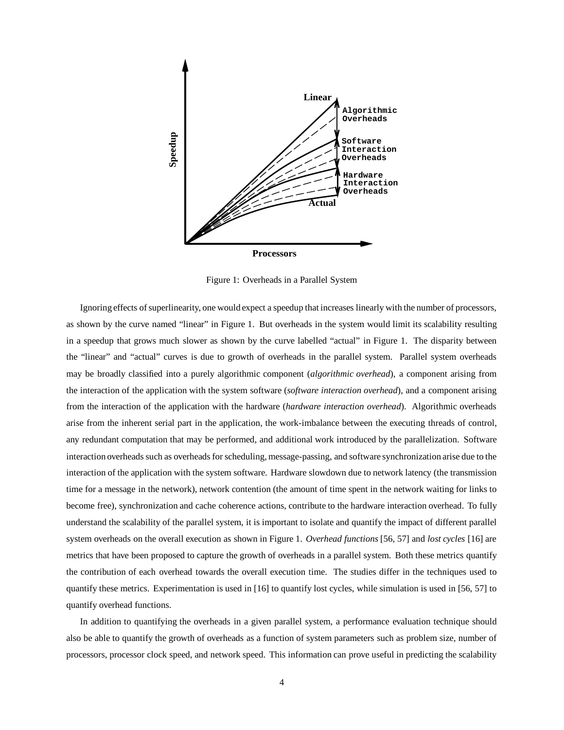

Figure 1: Overheads in a Parallel System

Ignoring effects of superlinearity, one would expect a speedup that increases linearly with the number of processors, as shown by the curve named "linear" in Figure 1. But overheads in the system would limit its scalability resulting in a speedup that grows much slower as shown by the curve labelled "actual" in Figure 1. The disparity between the "linear" and "actual" curves is due to growth of overheads in the parallel system. Parallel system overheads may be broadly classified into a purely algorithmic component (*algorithmic overhead*), a component arising from the interaction of the application with the system software (*software interaction overhead*), and a component arising from the interaction of the application with the hardware (*hardware interaction overhead*). Algorithmic overheads arise from the inherent serial part in the application, the work-imbalance between the executing threads of control, any redundant computation that may be performed, and additional work introduced by the parallelization. Software interaction overheads such as overheads for scheduling, message-passing, and software synchronization arise due to the interaction of the application with the system software. Hardware slowdown due to network latency (the transmission time for a message in the network), network contention (the amount of time spent in the network waiting for links to become free), synchronization and cache coherence actions, contribute to the hardware interaction overhead. To fully understand the scalability of the parallel system, it is important to isolate and quantify the impact of different parallel system overheads on the overall execution as shown in Figure 1. *Overhead functions* [56, 57] and *lost cycles* [16] are metrics that have been proposed to capture the growth of overheads in a parallel system. Both these metrics quantify the contribution of each overhead towards the overall execution time. The studies differ in the techniques used to quantify these metrics. Experimentation is used in [16] to quantify lost cycles, while simulation is used in [56, 57] to quantify overhead functions.

In addition to quantifying the overheads in a given parallel system, a performance evaluation technique should also be able to quantify the growth of overheads as a function of system parameters such as problem size, number of processors, processor clock speed, and network speed. This information can prove useful in predicting the scalability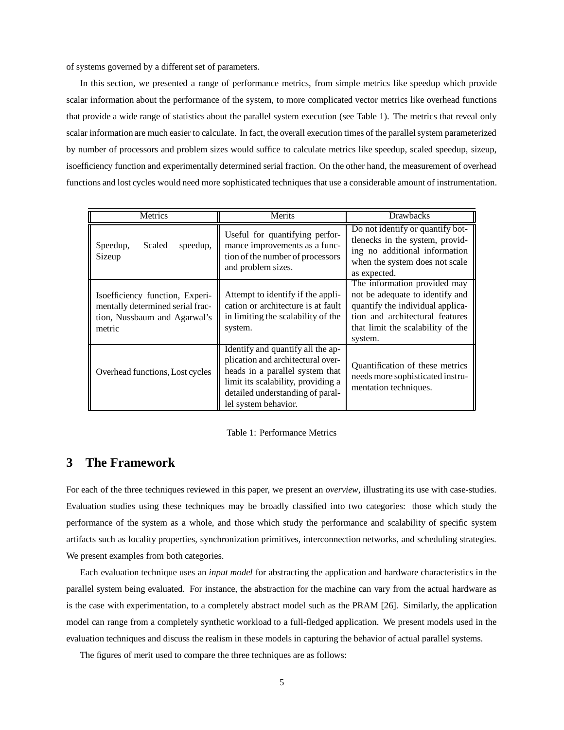of systems governed by a different set of parameters.

In this section, we presented a range of performance metrics, from simple metrics like speedup which provide scalar information about the performance of the system, to more complicated vector metrics like overhead functions that provide a wide range of statistics about the parallel system execution (see Table 1). The metrics that reveal only scalar information are much easier to calculate. In fact, the overall execution times of the parallelsystem parameterized by number of processors and problem sizes would suffice to calculate metrics like speedup, scaled speedup, sizeup, isoefficiency function and experimentally determined serial fraction. On the other hand, the measurement of overhead functions and lost cycles would need more sophisticated techniques that use a considerable amount of instrumentation.

| Metrics                                                                                                       | Merits                                                                                                                                                                                                      | <b>Drawbacks</b>                                                                                                                                                                       |
|---------------------------------------------------------------------------------------------------------------|-------------------------------------------------------------------------------------------------------------------------------------------------------------------------------------------------------------|----------------------------------------------------------------------------------------------------------------------------------------------------------------------------------------|
| Speedup,<br>Scaled<br>speedup,<br>Sizeup                                                                      | Useful for quantifying perfor-<br>mance improvements as a func-<br>tion of the number of processors<br>and problem sizes.                                                                                   | Do not identify or quantify bot-<br>tlenecks in the system, provid-<br>ing no additional information<br>when the system does not scale<br>as expected.                                 |
| Isoefficiency function, Experi-<br>mentally determined serial frac-<br>tion, Nussbaum and Agarwal's<br>metric | Attempt to identify if the appli-<br>cation or architecture is at fault<br>in limiting the scalability of the<br>system.                                                                                    | The information provided may<br>not be adequate to identify and<br>quantify the individual applica-<br>tion and architectural features<br>that limit the scalability of the<br>system. |
| Overhead functions, Lost cycles                                                                               | Identify and quantify all the ap-<br>plication and architectural over-<br>heads in a parallel system that<br>limit its scalability, providing a<br>detailed understanding of paral-<br>lel system behavior. | Quantification of these metrics<br>needs more sophisticated instru-<br>mentation techniques.                                                                                           |

Table 1: Performance Metrics

# **3 The Framework**

For each of the three techniques reviewed in this paper, we present an *overview*, illustrating its use with case-studies. Evaluation studies using these techniques may be broadly classified into two categories: those which study the performance of the system as a whole, and those which study the performance and scalability of specific system artifacts such as locality properties, synchronization primitives, interconnection networks, and scheduling strategies. We present examples from both categories.

Each evaluation technique uses an *input model* for abstracting the application and hardware characteristics in the parallel system being evaluated. For instance, the abstraction for the machine can vary from the actual hardware as is the case with experimentation, to a completely abstract model such as the PRAM [26]. Similarly, the application model can range from a completely synthetic workload to a full-fledged application. We present models used in the evaluation techniques and discuss the realism in these models in capturing the behavior of actual parallel systems.

The figures of merit used to compare the three techniques are as follows: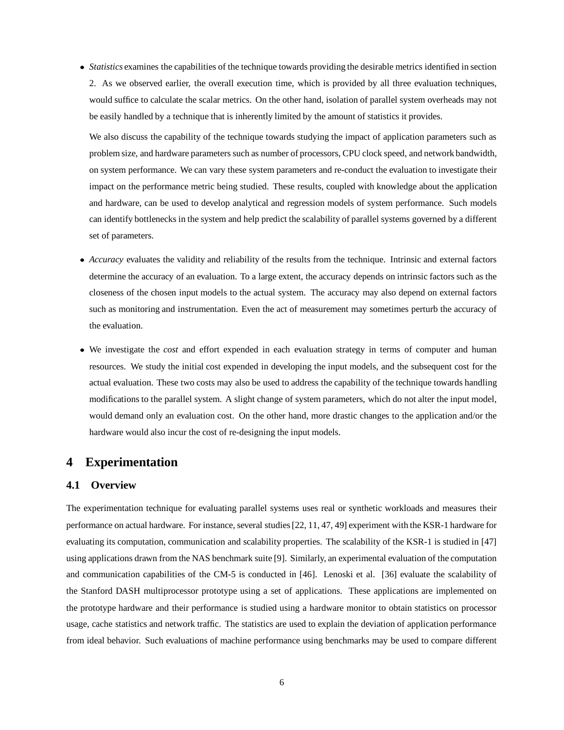*Statistics* examines the capabilities of the technique towards providing the desirable metrics identified in section 2. As we observed earlier, the overall execution time, which is provided by all three evaluation techniques, would suffice to calculate the scalar metrics. On the other hand, isolation of parallel system overheads may not be easily handled by a technique that is inherently limited by the amount of statistics it provides.

We also discuss the capability of the technique towards studying the impact of application parameters such as problem size, and hardware parameters such as number of processors, CPU clock speed, and network bandwidth, on system performance. We can vary these system parameters and re-conduct the evaluation to investigate their impact on the performance metric being studied. These results, coupled with knowledge about the application and hardware, can be used to develop analytical and regression models of system performance. Such models can identify bottlenecks in the system and help predict the scalability of parallel systems governed by a different set of parameters.

- *Accuracy* evaluates the validity and reliability of the results from the technique. Intrinsic and external factors determine the accuracy of an evaluation. To a large extent, the accuracy depends on intrinsic factors such as the closeness of the chosen input models to the actual system. The accuracy may also depend on external factors such as monitoring and instrumentation. Even the act of measurement may sometimes perturb the accuracy of the evaluation.
- We investigate the *cost* and effort expended in each evaluation strategy in terms of computer and human resources. We study the initial cost expended in developing the input models, and the subsequent cost for the actual evaluation. These two costs may also be used to address the capability of the technique towards handling modifications to the parallel system. A slight change of system parameters, which do not alter the input model, would demand only an evaluation cost. On the other hand, more drastic changes to the application and/or the hardware would also incur the cost of re-designing the input models.

# **4 Experimentation**

### **4.1 Overview**

The experimentation technique for evaluating parallel systems uses real or synthetic workloads and measures their performance on actual hardware. For instance, several studies[22, 11, 47, 49] experiment with the KSR-1 hardware for evaluating its computation, communication and scalability properties. The scalability of the KSR-1 is studied in [47] using applications drawn from the NAS benchmark suite [9]. Similarly, an experimental evaluation of the computation and communication capabilities of the CM-5 is conducted in [46]. Lenoski et al. [36] evaluate the scalability of the Stanford DASH multiprocessor prototype using a set of applications. These applications are implemented on the prototype hardware and their performance is studied using a hardware monitor to obtain statistics on processor usage, cache statistics and network traffic. The statistics are used to explain the deviation of application performance from ideal behavior. Such evaluations of machine performance using benchmarks may be used to compare different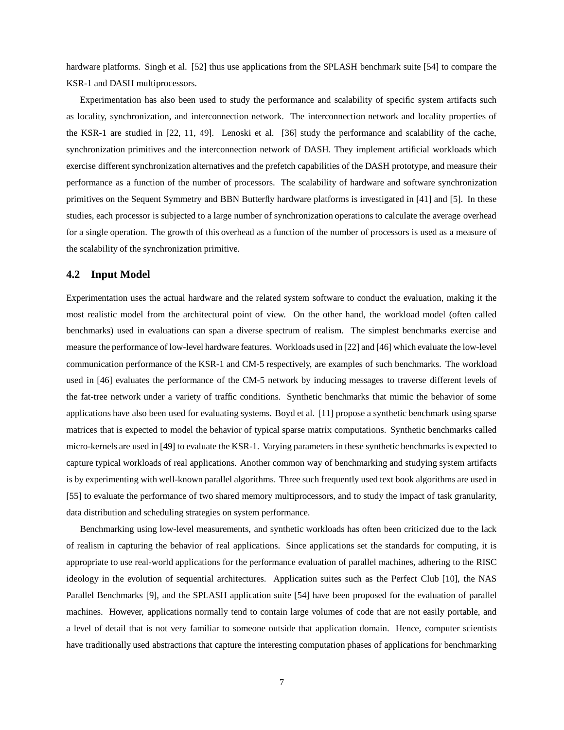hardware platforms. Singh et al. [52] thus use applications from the SPLASH benchmark suite [54] to compare the KSR-1 and DASH multiprocessors.

Experimentation has also been used to study the performance and scalability of specific system artifacts such as locality, synchronization, and interconnection network. The interconnection network and locality properties of the KSR-1 are studied in [22, 11, 49]. Lenoski et al. [36] study the performance and scalability of the cache, synchronization primitives and the interconnection network of DASH. They implement artificial workloads which exercise different synchronization alternatives and the prefetch capabilities of the DASH prototype, and measure their performance as a function of the number of processors. The scalability of hardware and software synchronization primitives on the Sequent Symmetry and BBN Butterfly hardware platforms is investigated in [41] and [5]. In these studies, each processor is subjected to a large number of synchronization operations to calculate the average overhead for a single operation. The growth of this overhead as a function of the number of processors is used as a measure of the scalability of the synchronization primitive.

### **4.2 Input Model**

Experimentation uses the actual hardware and the related system software to conduct the evaluation, making it the most realistic model from the architectural point of view. On the other hand, the workload model (often called benchmarks) used in evaluations can span a diverse spectrum of realism. The simplest benchmarks exercise and measure the performance of low-level hardware features. Workloads used in [22] and [46] which evaluate the low-level communication performance of the KSR-1 and CM-5 respectively, are examples of such benchmarks. The workload used in [46] evaluates the performance of the CM-5 network by inducing messages to traverse different levels of the fat-tree network under a variety of traffic conditions. Synthetic benchmarks that mimic the behavior of some applications have also been used for evaluating systems. Boyd et al. [11] propose a synthetic benchmark using sparse matrices that is expected to model the behavior of typical sparse matrix computations. Synthetic benchmarks called micro-kernels are used in [49] to evaluate the KSR-1. Varying parameters in these synthetic benchmarks is expected to capture typical workloads of real applications. Another common way of benchmarking and studying system artifacts is by experimenting with well-known parallel algorithms. Three such frequently used text book algorithms are used in [55] to evaluate the performance of two shared memory multiprocessors, and to study the impact of task granularity, data distribution and scheduling strategies on system performance.

Benchmarking using low-level measurements, and synthetic workloads has often been criticized due to the lack of realism in capturing the behavior of real applications. Since applications set the standards for computing, it is appropriate to use real-world applications for the performance evaluation of parallel machines, adhering to the RISC ideology in the evolution of sequential architectures. Application suites such as the Perfect Club [10], the NAS Parallel Benchmarks [9], and the SPLASH application suite [54] have been proposed for the evaluation of parallel machines. However, applications normally tend to contain large volumes of code that are not easily portable, and a level of detail that is not very familiar to someone outside that application domain. Hence, computer scientists have traditionally used abstractions that capture the interesting computation phases of applications for benchmarking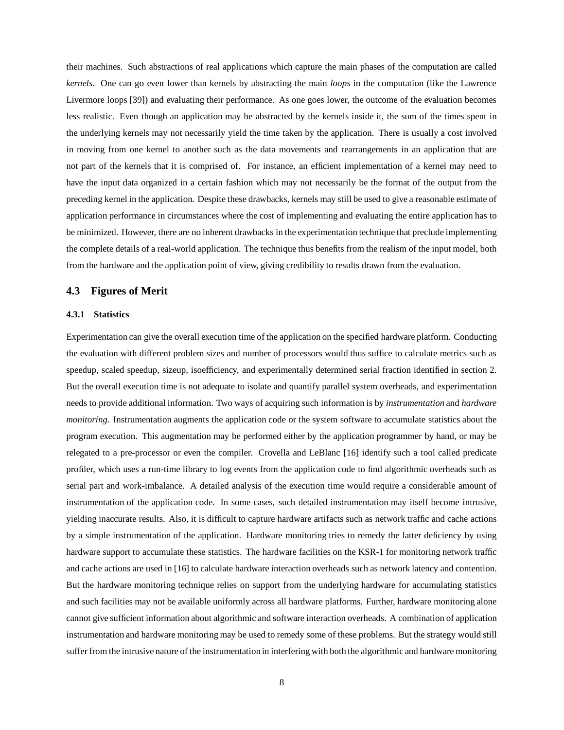their machines. Such abstractions of real applications which capture the main phases of the computation are called *kernels*. One can go even lower than kernels by abstracting the main *loops* in the computation (like the Lawrence Livermore loops [39]) and evaluating their performance. As one goes lower, the outcome of the evaluation becomes less realistic. Even though an application may be abstracted by the kernels inside it, the sum of the times spent in the underlying kernels may not necessarily yield the time taken by the application. There is usually a cost involved in moving from one kernel to another such as the data movements and rearrangements in an application that are not part of the kernels that it is comprised of. For instance, an efficient implementation of a kernel may need to have the input data organized in a certain fashion which may not necessarily be the format of the output from the preceding kernel in the application. Despite these drawbacks, kernels may still be used to give a reasonable estimate of application performance in circumstances where the cost of implementing and evaluating the entire application has to be minimized. However, there are no inherent drawbacks in the experimentation technique that preclude implementing the complete details of a real-world application. The technique thus benefits from the realism of the input model, both from the hardware and the application point of view, giving credibility to results drawn from the evaluation.

#### **4.3 Figures of Merit**

#### **4.3.1 Statistics**

Experimentation can give the overall execution time of the application on the specified hardware platform. Conducting the evaluation with different problem sizes and number of processors would thus suffice to calculate metrics such as speedup, scaled speedup, sizeup, isoefficiency, and experimentally determined serial fraction identified in section 2. But the overall execution time is not adequate to isolate and quantify parallel system overheads, and experimentation needs to provide additional information. Two ways of acquiring such information is by *instrumentation* and *hardware monitoring*. Instrumentation augments the application code or the system software to accumulate statistics about the program execution. This augmentation may be performed either by the application programmer by hand, or may be relegated to a pre-processor or even the compiler. Crovella and LeBlanc [16] identify such a tool called predicate profiler, which uses a run-time library to log events from the application code to find algorithmic overheads such as serial part and work-imbalance. A detailed analysis of the execution time would require a considerable amount of instrumentation of the application code. In some cases, such detailed instrumentation may itself become intrusive, yielding inaccurate results. Also, it is difficult to capture hardware artifacts such as network traffic and cache actions by a simple instrumentation of the application. Hardware monitoring tries to remedy the latter deficiency by using hardware support to accumulate these statistics. The hardware facilities on the KSR-1 for monitoring network traffic and cache actions are used in [16] to calculate hardware interaction overheads such as network latency and contention. But the hardware monitoring technique relies on support from the underlying hardware for accumulating statistics and such facilities may not be available uniformly across all hardware platforms. Further, hardware monitoring alone cannot give sufficient information about algorithmic and software interaction overheads. A combination of application instrumentation and hardware monitoring may be used to remedy some of these problems. But the strategy would still suffer from the intrusive nature of the instrumentation in interfering with both the algorithmic and hardware monitoring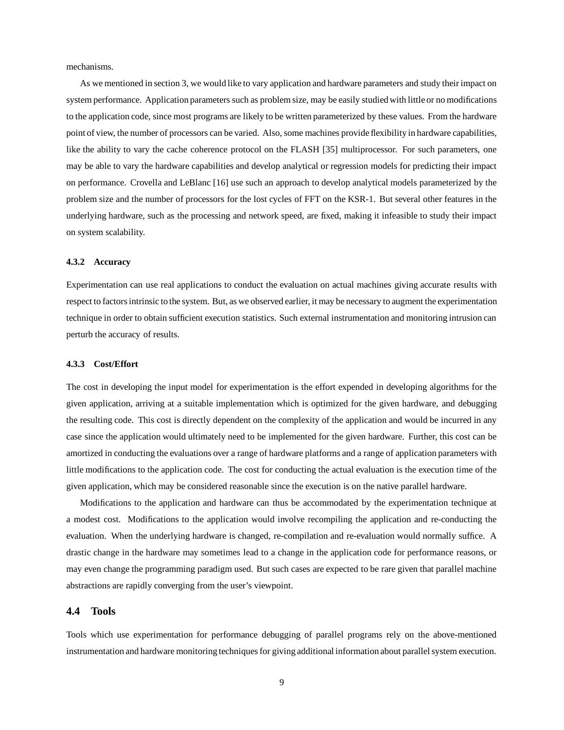mechanisms.

As we mentioned in section 3, we would like to vary application and hardware parameters and study their impact on system performance. Application parameters such as problem size, may be easily studied with little or no modifications to the application code, since most programs are likely to be written parameterized by these values. From the hardware point of view, the number of processors can be varied. Also, some machines provide flexibility in hardware capabilities, like the ability to vary the cache coherence protocol on the FLASH [35] multiprocessor. For such parameters, one may be able to vary the hardware capabilities and develop analytical or regression models for predicting their impact on performance. Crovella and LeBlanc [16] use such an approach to develop analytical models parameterized by the problem size and the number of processors for the lost cycles of FFT on the KSR-1. But several other features in the underlying hardware, such as the processing and network speed, are fixed, making it infeasible to study their impact on system scalability.

#### **4.3.2 Accuracy**

Experimentation can use real applications to conduct the evaluation on actual machines giving accurate results with respect to factorsintrinsic to the system. But, as we observed earlier, it may be necessary to augment the experimentation technique in order to obtain sufficient execution statistics. Such external instrumentation and monitoring intrusion can perturb the accuracy of results.

#### **4.3.3 Cost/Effort**

The cost in developing the input model for experimentation is the effort expended in developing algorithms for the given application, arriving at a suitable implementation which is optimized for the given hardware, and debugging the resulting code. This cost is directly dependent on the complexity of the application and would be incurred in any case since the application would ultimately need to be implemented for the given hardware. Further, this cost can be amortized in conducting the evaluations over a range of hardware platforms and a range of application parameters with little modifications to the application code. The cost for conducting the actual evaluation is the execution time of the given application, which may be considered reasonable since the execution is on the native parallel hardware.

Modifications to the application and hardware can thus be accommodated by the experimentation technique at a modest cost. Modifications to the application would involve recompiling the application and re-conducting the evaluation. When the underlying hardware is changed, re-compilation and re-evaluation would normally suffice. A drastic change in the hardware may sometimes lead to a change in the application code for performance reasons, or may even change the programming paradigm used. But such cases are expected to be rare given that parallel machine abstractions are rapidly converging from the user's viewpoint.

#### **4.4 Tools**

Tools which use experimentation for performance debugging of parallel programs rely on the above-mentioned instrumentation and hardware monitoring techniques for giving additional information about parallel system execution.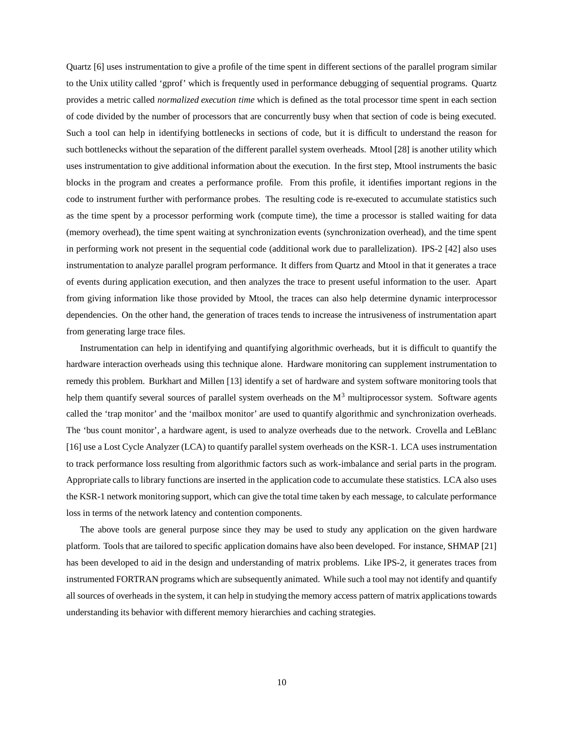Quartz [6] uses instrumentation to give a profile of the time spent in different sections of the parallel program similar to the Unix utility called 'gprof' which is frequently used in performance debugging of sequential programs. Quartz provides a metric called *normalized execution time* which is defined as the total processor time spent in each section of code divided by the number of processors that are concurrently busy when that section of code is being executed. Such a tool can help in identifying bottlenecks in sections of code, but it is difficult to understand the reason for such bottlenecks without the separation of the different parallel system overheads. Mtool [28] is another utility which uses instrumentation to give additional information about the execution. In the first step, Mtool instruments the basic blocks in the program and creates a performance profile. From this profile, it identifies important regions in the code to instrument further with performance probes. The resulting code is re-executed to accumulate statistics such as the time spent by a processor performing work (compute time), the time a processor is stalled waiting for data (memory overhead), the time spent waiting at synchronization events (synchronization overhead), and the time spent in performing work not present in the sequential code (additional work due to parallelization). IPS-2 [42] also uses instrumentation to analyze parallel program performance. It differs from Quartz and Mtool in that it generates a trace of events during application execution, and then analyzes the trace to present useful information to the user. Apart from giving information like those provided by Mtool, the traces can also help determine dynamic interprocessor dependencies. On the other hand, the generation of traces tends to increase the intrusiveness of instrumentation apart from generating large trace files.

Instrumentation can help in identifying and quantifying algorithmic overheads, but it is difficult to quantify the hardware interaction overheads using this technique alone. Hardware monitoring can supplement instrumentation to remedy this problem. Burkhart and Millen [13] identify a set of hardware and system software monitoring tools that help them quantify several sources of parallel system overheads on the  $M<sup>3</sup>$  multiprocessor system. Software agents called the 'trap monitor' and the 'mailbox monitor' are used to quantify algorithmic and synchronization overheads. The 'bus count monitor', a hardware agent, is used to analyze overheads due to the network. Crovella and LeBlanc [16] use a Lost Cycle Analyzer (LCA) to quantify parallel system overheads on the KSR-1. LCA uses instrumentation to track performance loss resulting from algorithmic factors such as work-imbalance and serial parts in the program. Appropriate calls to library functions are inserted in the application code to accumulate these statistics. LCA also uses the KSR-1 network monitoring support, which can give the total time taken by each message, to calculate performance loss in terms of the network latency and contention components.

The above tools are general purpose since they may be used to study any application on the given hardware platform. Tools that are tailored to specific application domains have also been developed. For instance, SHMAP [21] has been developed to aid in the design and understanding of matrix problems. Like IPS-2, it generates traces from instrumented FORTRAN programs which are subsequently animated. While such a tool may not identify and quantify all sources of overheads in the system, it can help in studying the memory access pattern of matrix applicationstowards understanding its behavior with different memory hierarchies and caching strategies.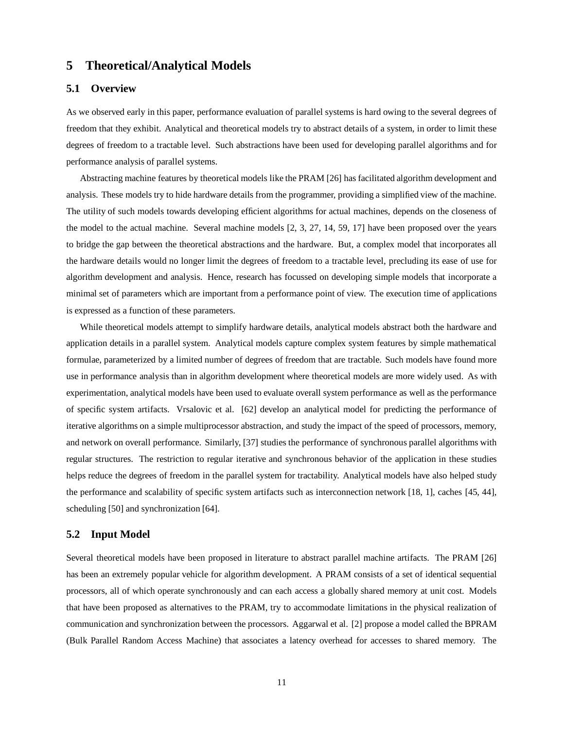# **5 Theoretical/Analytical Models**

## **5.1 Overview**

As we observed early in this paper, performance evaluation of parallel systems is hard owing to the several degrees of freedom that they exhibit. Analytical and theoretical models try to abstract details of a system, in order to limit these degrees of freedom to a tractable level. Such abstractions have been used for developing parallel algorithms and for performance analysis of parallel systems.

Abstracting machine features by theoretical models like the PRAM [26] has facilitated algorithm development and analysis. These models try to hide hardware details from the programmer, providing a simplified view of the machine. The utility of such models towards developing efficient algorithms for actual machines, depends on the closeness of the model to the actual machine. Several machine models [2, 3, 27, 14, 59, 17] have been proposed over the years to bridge the gap between the theoretical abstractions and the hardware. But, a complex model that incorporates all the hardware details would no longer limit the degrees of freedom to a tractable level, precluding its ease of use for algorithm development and analysis. Hence, research has focussed on developing simple models that incorporate a minimal set of parameters which are important from a performance point of view. The execution time of applications is expressed as a function of these parameters.

While theoretical models attempt to simplify hardware details, analytical models abstract both the hardware and application details in a parallel system. Analytical models capture complex system features by simple mathematical formulae, parameterized by a limited number of degrees of freedom that are tractable. Such models have found more use in performance analysis than in algorithm development where theoretical models are more widely used. As with experimentation, analytical models have been used to evaluate overall system performance as well as the performance of specific system artifacts. Vrsalovic et al. [62] develop an analytical model for predicting the performance of iterative algorithms on a simple multiprocessor abstraction, and study the impact of the speed of processors, memory, and network on overall performance. Similarly, [37] studies the performance of synchronous parallel algorithms with regular structures. The restriction to regular iterative and synchronous behavior of the application in these studies helps reduce the degrees of freedom in the parallel system for tractability. Analytical models have also helped study the performance and scalability of specific system artifacts such as interconnection network [18, 1], caches [45, 44], scheduling [50] and synchronization [64].

### **5.2 Input Model**

Several theoretical models have been proposed in literature to abstract parallel machine artifacts. The PRAM [26] has been an extremely popular vehicle for algorithm development. A PRAM consists of a set of identical sequential processors, all of which operate synchronously and can each access a globally shared memory at unit cost. Models that have been proposed as alternatives to the PRAM, try to accommodate limitations in the physical realization of communication and synchronization between the processors. Aggarwal et al. [2] propose a model called the BPRAM (Bulk Parallel Random Access Machine) that associates a latency overhead for accesses to shared memory. The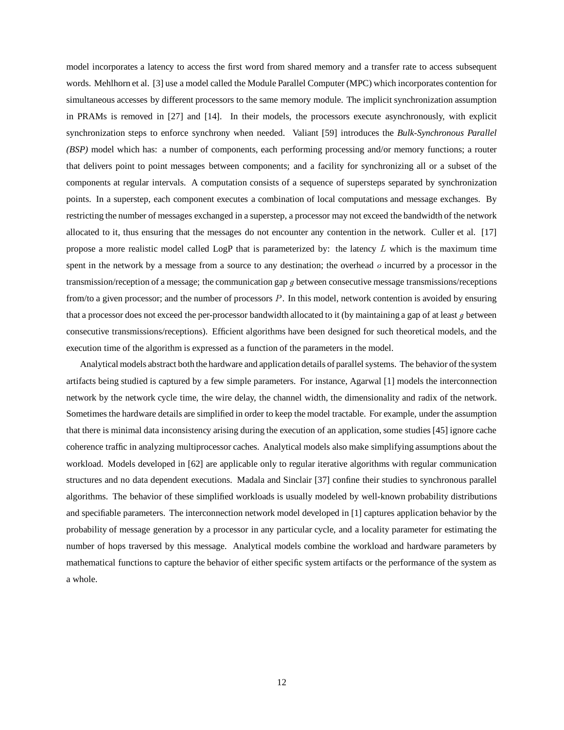model incorporates a latency to access the first word from shared memory and a transfer rate to access subsequent words. Mehlhorn et al. [3] use a model called the Module Parallel Computer (MPC) which incorporates contention for simultaneous accesses by different processors to the same memory module. The implicit synchronization assumption in PRAMs is removed in [27] and [14]. In their models, the processors execute asynchronously, with explicit synchronization steps to enforce synchrony when needed. Valiant [59] introduces the *Bulk-Synchronous Parallel (BSP)* model which has: a number of components, each performing processing and/or memory functions; a router that delivers point to point messages between components; and a facility for synchronizing all or a subset of the components at regular intervals. A computation consists of a sequence of supersteps separated by synchronization points. In a superstep, each component executes a combination of local computations and message exchanges. By restricting the number of messages exchanged in a superstep, a processor may not exceed the bandwidth of the network allocated to it, thus ensuring that the messages do not encounter any contention in the network. Culler et al. [17] propose a more realistic model called LogP that is parameterized by: the latency  $L$  which is the maximum time spent in the network by a message from a source to any destination; the overhead  $\sigma$  incurred by a processor in the transmission/reception of a message; the communication gap  $g$  between consecutive message transmissions/receptions from/to a given processor; and the number of processors  $P$ . In this model, network contention is avoided by ensuring that a processor does not exceed the per-processor bandwidth allocated to it (by maintaining a gap of at least  $g$  between consecutive transmissions/receptions). Efficient algorithms have been designed for such theoretical models, and the execution time of the algorithm is expressed as a function of the parameters in the model.

Analytical models abstract both the hardware and application details of parallelsystems. The behavior of the system artifacts being studied is captured by a few simple parameters. For instance, Agarwal [1] models the interconnection network by the network cycle time, the wire delay, the channel width, the dimensionality and radix of the network. Sometimes the hardware details are simplified in order to keep the model tractable. For example, under the assumption that there is minimal data inconsistency arising during the execution of an application, some studies [45] ignore cache coherence traffic in analyzing multiprocessor caches. Analytical models also make simplifying assumptions about the workload. Models developed in [62] are applicable only to regular iterative algorithms with regular communication structures and no data dependent executions. Madala and Sinclair [37] confine their studies to synchronous parallel algorithms. The behavior of these simplified workloads is usually modeled by well-known probability distributions and specifiable parameters. The interconnection network model developed in [1] captures application behavior by the probability of message generation by a processor in any particular cycle, and a locality parameter for estimating the number of hops traversed by this message. Analytical models combine the workload and hardware parameters by mathematical functions to capture the behavior of either specific system artifacts or the performance of the system as a whole.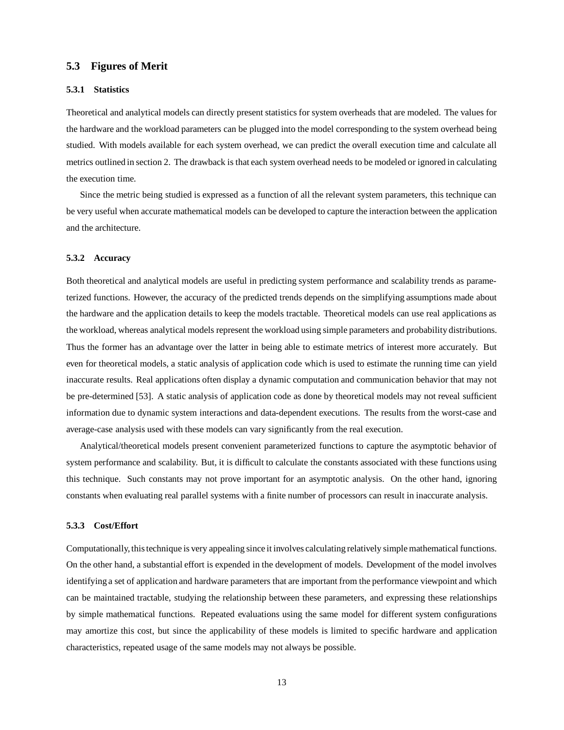### **5.3 Figures of Merit**

#### **5.3.1 Statistics**

Theoretical and analytical models can directly present statistics for system overheads that are modeled. The values for the hardware and the workload parameters can be plugged into the model corresponding to the system overhead being studied. With models available for each system overhead, we can predict the overall execution time and calculate all metrics outlined in section 2. The drawback is that each system overhead needs to be modeled or ignored in calculating the execution time.

Since the metric being studied is expressed as a function of all the relevant system parameters, this technique can be very useful when accurate mathematical models can be developed to capture the interaction between the application and the architecture.

#### **5.3.2 Accuracy**

Both theoretical and analytical models are useful in predicting system performance and scalability trends as parameterized functions. However, the accuracy of the predicted trends depends on the simplifying assumptions made about the hardware and the application details to keep the models tractable. Theoretical models can use real applications as the workload, whereas analytical models represent the workload using simple parameters and probability distributions. Thus the former has an advantage over the latter in being able to estimate metrics of interest more accurately. But even for theoretical models, a static analysis of application code which is used to estimate the running time can yield inaccurate results. Real applications often display a dynamic computation and communication behavior that may not be pre-determined [53]. A static analysis of application code as done by theoretical models may not reveal sufficient information due to dynamic system interactions and data-dependent executions. The results from the worst-case and average-case analysis used with these models can vary significantly from the real execution.

Analytical/theoretical models present convenient parameterized functions to capture the asymptotic behavior of system performance and scalability. But, it is difficult to calculate the constants associated with these functions using this technique. Such constants may not prove important for an asymptotic analysis. On the other hand, ignoring constants when evaluating real parallel systems with a finite number of processors can result in inaccurate analysis.

#### **5.3.3 Cost/Effort**

Computationally, thistechnique is very appealing since it involves calculating relatively simple mathematical functions. On the other hand, a substantial effort is expended in the development of models. Development of the model involves identifying a set of application and hardware parameters that are important from the performance viewpoint and which can be maintained tractable, studying the relationship between these parameters, and expressing these relationships by simple mathematical functions. Repeated evaluations using the same model for different system configurations may amortize this cost, but since the applicability of these models is limited to specific hardware and application characteristics, repeated usage of the same models may not always be possible.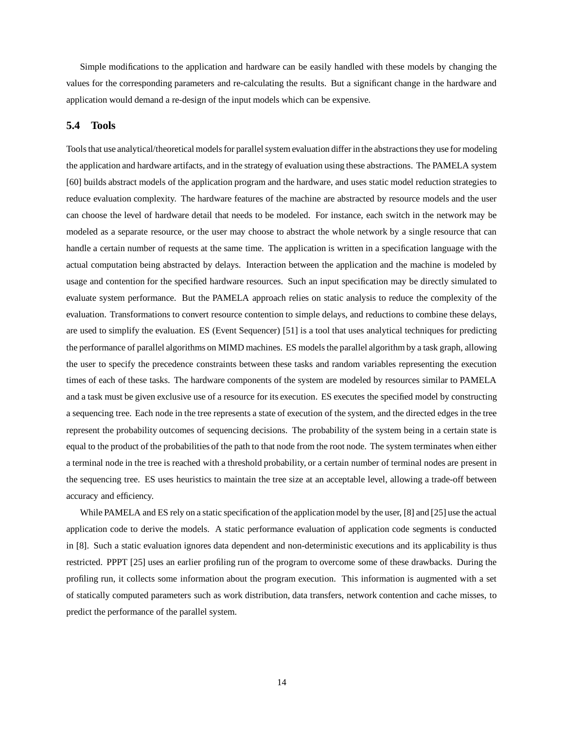Simple modifications to the application and hardware can be easily handled with these models by changing the values for the corresponding parameters and re-calculating the results. But a significant change in the hardware and application would demand a re-design of the input models which can be expensive.

### **5.4 Tools**

Tools that use analytical/theoretical models for parallel system evaluation differ in the abstractions they use for modeling the application and hardware artifacts, and in the strategy of evaluation using these abstractions. The PAMELA system [60] builds abstract models of the application program and the hardware, and uses static model reduction strategies to reduce evaluation complexity. The hardware features of the machine are abstracted by resource models and the user can choose the level of hardware detail that needs to be modeled. For instance, each switch in the network may be modeled as a separate resource, or the user may choose to abstract the whole network by a single resource that can handle a certain number of requests at the same time. The application is written in a specification language with the actual computation being abstracted by delays. Interaction between the application and the machine is modeled by usage and contention for the specified hardware resources. Such an input specification may be directly simulated to evaluate system performance. But the PAMELA approach relies on static analysis to reduce the complexity of the evaluation. Transformations to convert resource contention to simple delays, and reductions to combine these delays, are used to simplify the evaluation. ES (Event Sequencer) [51] is a tool that uses analytical techniques for predicting the performance of parallel algorithms on MIMD machines. ES models the parallel algorithm by a task graph, allowing the user to specify the precedence constraints between these tasks and random variables representing the execution times of each of these tasks. The hardware components of the system are modeled by resources similar to PAMELA and a task must be given exclusive use of a resource for its execution. ES executes the specified model by constructing a sequencing tree. Each node in the tree represents a state of execution of the system, and the directed edges in the tree represent the probability outcomes of sequencing decisions. The probability of the system being in a certain state is equal to the product of the probabilities of the path to that node from the root node. The system terminates when either a terminal node in the tree is reached with a threshold probability, or a certain number of terminal nodes are present in the sequencing tree. ES uses heuristics to maintain the tree size at an acceptable level, allowing a trade-off between accuracy and efficiency.

While PAMELA and ES rely on a static specification of the application model by the user, [8] and [25] use the actual application code to derive the models. A static performance evaluation of application code segments is conducted in [8]. Such a static evaluation ignores data dependent and non-deterministic executions and its applicability is thus restricted. PPPT [25] uses an earlier profiling run of the program to overcome some of these drawbacks. During the profiling run, it collects some information about the program execution. This information is augmented with a set of statically computed parameters such as work distribution, data transfers, network contention and cache misses, to predict the performance of the parallel system.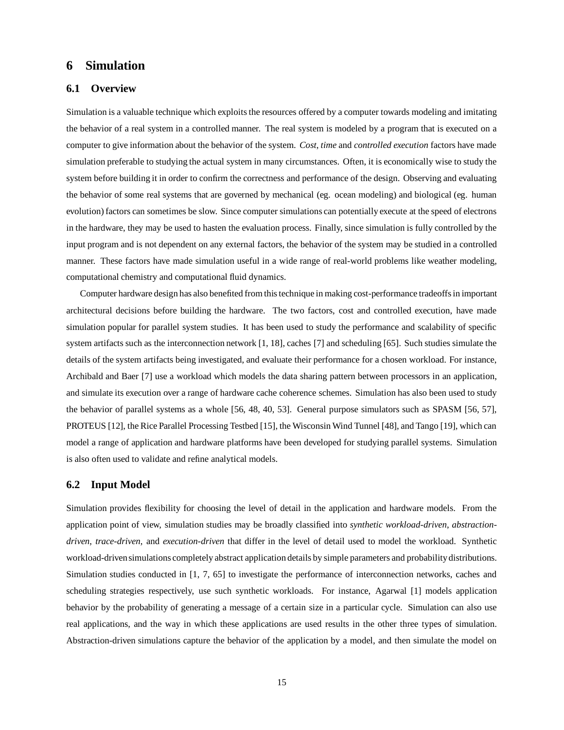# **6 Simulation**

## **6.1 Overview**

Simulation is a valuable technique which exploits the resources offered by a computer towards modeling and imitating the behavior of a real system in a controlled manner. The real system is modeled by a program that is executed on a computer to give information about the behavior of the system. *Cost*, *time* and *controlled execution* factors have made simulation preferable to studying the actual system in many circumstances. Often, it is economically wise to study the system before building it in order to confirm the correctness and performance of the design. Observing and evaluating the behavior of some real systems that are governed by mechanical (eg. ocean modeling) and biological (eg. human evolution) factors can sometimes be slow. Since computer simulations can potentially execute at the speed of electrons in the hardware, they may be used to hasten the evaluation process. Finally, since simulation is fully controlled by the input program and is not dependent on any external factors, the behavior of the system may be studied in a controlled manner. These factors have made simulation useful in a wide range of real-world problems like weather modeling, computational chemistry and computational fluid dynamics.

Computer hardware design has also benefited from thistechnique in making cost-performance tradeoffsin important architectural decisions before building the hardware. The two factors, cost and controlled execution, have made simulation popular for parallel system studies. It has been used to study the performance and scalability of specific system artifacts such as the interconnection network [1, 18], caches [7] and scheduling [65]. Such studies simulate the details of the system artifacts being investigated, and evaluate their performance for a chosen workload. For instance, Archibald and Baer [7] use a workload which models the data sharing pattern between processors in an application, and simulate its execution over a range of hardware cache coherence schemes. Simulation has also been used to study the behavior of parallel systems as a whole [56, 48, 40, 53]. General purpose simulators such as SPASM [56, 57], PROTEUS [12], the Rice Parallel Processing Testbed [15], the Wisconsin Wind Tunnel [48], and Tango [19], which can model a range of application and hardware platforms have been developed for studying parallel systems. Simulation is also often used to validate and refine analytical models.

### **6.2 Input Model**

Simulation provides flexibility for choosing the level of detail in the application and hardware models. From the application point of view, simulation studies may be broadly classified into *synthetic workload-driven*, *abstractiondriven*, *trace-driven*, and *execution-driven* that differ in the level of detail used to model the workload. Synthetic workload-driven simulations completely abstract application details by simple parameters and probability distributions. Simulation studies conducted in [1, 7, 65] to investigate the performance of interconnection networks, caches and scheduling strategies respectively, use such synthetic workloads. For instance, Agarwal [1] models application behavior by the probability of generating a message of a certain size in a particular cycle. Simulation can also use real applications, and the way in which these applications are used results in the other three types of simulation. Abstraction-driven simulations capture the behavior of the application by a model, and then simulate the model on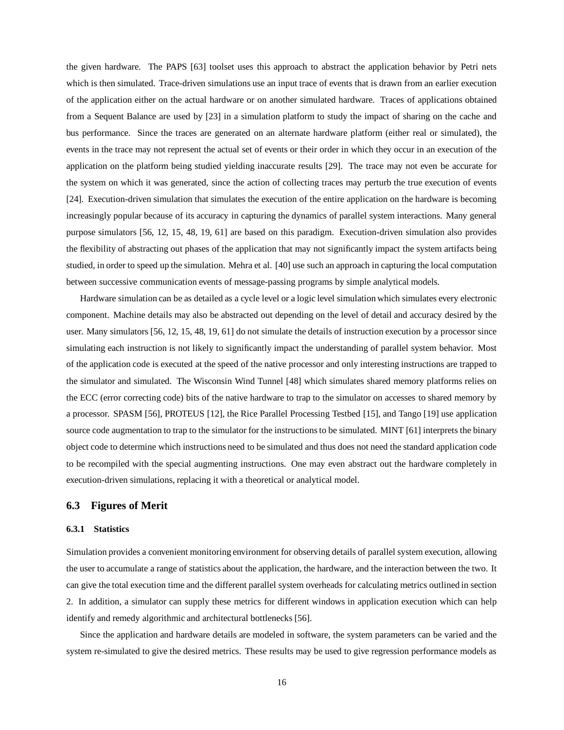the given hardware. The PAPS [63] toolset uses this approach to abstract the application behavior by Petri nets which is then simulated. Trace-driven simulations use an input trace of events that is drawn from an earlier execution of the application either on the actual hardware or on another simulated hardware. Traces of applications obtained from a Sequent Balance are used by [23] in a simulation platform to study the impact of sharing on the cache and bus performance. Since the traces are generated on an alternate hardware platform (either real or simulated), the events in the trace may not represent the actual set of events or their order in which they occur in an execution of the application on the platform being studied yielding inaccurate results [29]. The trace may not even be accurate for the system on which it was generated, since the action of collecting traces may perturb the true execution of events [24]. Execution-driven simulation that simulates the execution of the entire application on the hardware is becoming increasingly popular because of its accuracy in capturing the dynamics of parallel system interactions. Many general purpose simulators [56, 12, 15, 48, 19, 61] are based on this paradigm. Execution-driven simulation also provides the flexibility of abstracting out phases of the application that may not significantly impact the system artifacts being studied, in order to speed up the simulation. Mehra et al. [40] use such an approach in capturing the local computation between successive communication events of message-passing programs by simple analytical models.

Hardware simulation can be as detailed as a cycle level or a logic level simulation which simulates every electronic component. Machine details may also be abstracted out depending on the level of detail and accuracy desired by the user. Many simulators [56, 12, 15, 48, 19, 61] do not simulate the details of instruction execution by a processor since simulating each instruction is not likely to significantly impact the understanding of parallel system behavior. Most of the application code is executed at the speed of the native processor and only interesting instructions are trapped to the simulator and simulated. The Wisconsin Wind Tunnel [48] which simulates shared memory platforms relies on the ECC (error correcting code) bits of the native hardware to trap to the simulator on accesses to shared memory by a processor. SPASM [56], PROTEUS [12], the Rice Parallel Processing Testbed [15], and Tango [19] use application source code augmentation to trap to the simulator for the instructions to be simulated. MINT [61] interprets the binary object code to determine which instructions need to be simulated and thus does not need the standard application code to be recompiled with the special augmenting instructions. One may even abstract out the hardware completely in execution-driven simulations, replacing it with a theoretical or analytical model.

### **6.3 Figures of Merit**

#### **6.3.1 Statistics**

Simulation provides a convenient monitoring environment for observing details of parallel system execution, allowing the user to accumulate a range of statistics about the application, the hardware, and the interaction between the two. It can give the total execution time and the different parallel system overheads for calculating metrics outlined in section 2. In addition, a simulator can supply these metrics for different windows in application execution which can help identify and remedy algorithmic and architectural bottlenecks [56].

Since the application and hardware details are modeled in software, the system parameters can be varied and the system re-simulated to give the desired metrics. These results may be used to give regression performance models as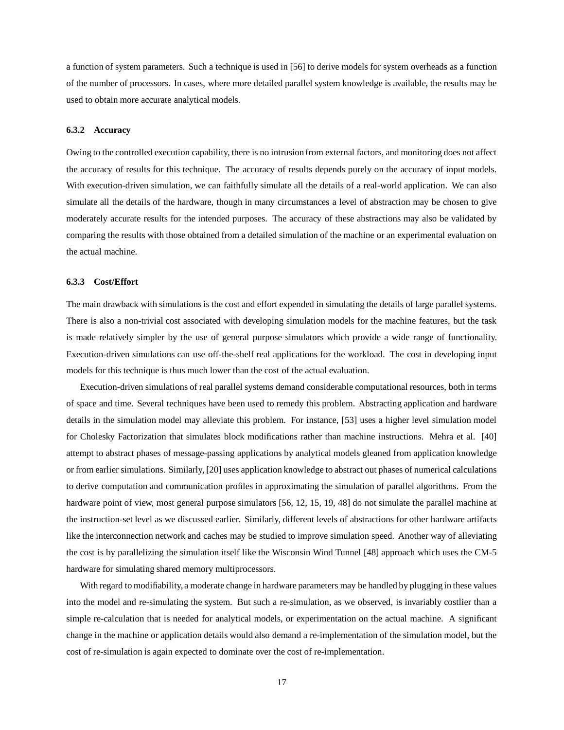a function of system parameters. Such a technique is used in [56] to derive models for system overheads as a function of the number of processors. In cases, where more detailed parallel system knowledge is available, the results may be used to obtain more accurate analytical models.

#### **6.3.2 Accuracy**

Owing to the controlled execution capability, there is no intrusion from external factors, and monitoring does not affect the accuracy of results for this technique. The accuracy of results depends purely on the accuracy of input models. With execution-driven simulation, we can faithfully simulate all the details of a real-world application. We can also simulate all the details of the hardware, though in many circumstances a level of abstraction may be chosen to give moderately accurate results for the intended purposes. The accuracy of these abstractions may also be validated by comparing the results with those obtained from a detailed simulation of the machine or an experimental evaluation on the actual machine.

#### **6.3.3 Cost/Effort**

The main drawback with simulations is the cost and effort expended in simulating the details of large parallel systems. There is also a non-trivial cost associated with developing simulation models for the machine features, but the task is made relatively simpler by the use of general purpose simulators which provide a wide range of functionality. Execution-driven simulations can use off-the-shelf real applications for the workload. The cost in developing input models for this technique is thus much lower than the cost of the actual evaluation.

Execution-driven simulations of real parallel systems demand considerable computational resources, both in terms of space and time. Several techniques have been used to remedy this problem. Abstracting application and hardware details in the simulation model may alleviate this problem. For instance, [53] uses a higher level simulation model for Cholesky Factorization that simulates block modifications rather than machine instructions. Mehra et al. [40] attempt to abstract phases of message-passing applications by analytical models gleaned from application knowledge or from earlier simulations. Similarly, [20] uses application knowledge to abstract out phases of numerical calculations to derive computation and communication profiles in approximating the simulation of parallel algorithms. From the hardware point of view, most general purpose simulators [56, 12, 15, 19, 48] do not simulate the parallel machine at the instruction-set level as we discussed earlier. Similarly, different levels of abstractions for other hardware artifacts like the interconnection network and caches may be studied to improve simulation speed. Another way of alleviating the cost is by parallelizing the simulation itself like the Wisconsin Wind Tunnel [48] approach which uses the CM-5 hardware for simulating shared memory multiprocessors.

With regard to modifiability, a moderate change in hardware parameters may be handled by plugging in these values into the model and re-simulating the system. But such a re-simulation, as we observed, is invariably costlier than a simple re-calculation that is needed for analytical models, or experimentation on the actual machine. A significant change in the machine or application details would also demand a re-implementation of the simulation model, but the cost of re-simulation is again expected to dominate over the cost of re-implementation.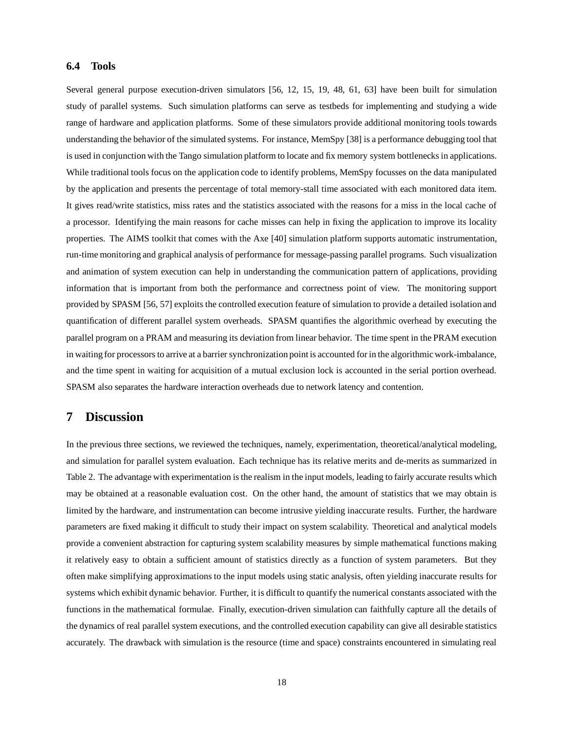### **6.4 Tools**

Several general purpose execution-driven simulators [56, 12, 15, 19, 48, 61, 63] have been built for simulation study of parallel systems. Such simulation platforms can serve as testbeds for implementing and studying a wide range of hardware and application platforms. Some of these simulators provide additional monitoring tools towards understanding the behavior of the simulated systems. For instance, MemSpy [38] is a performance debugging tool that is used in conjunction with the Tango simulation platform to locate and fix memory system bottlenecks in applications. While traditional tools focus on the application code to identify problems, MemSpy focusses on the data manipulated by the application and presents the percentage of total memory-stall time associated with each monitored data item. It gives read/write statistics, miss rates and the statistics associated with the reasons for a miss in the local cache of a processor. Identifying the main reasons for cache misses can help in fixing the application to improve its locality properties. The AIMS toolkit that comes with the Axe [40] simulation platform supports automatic instrumentation, run-time monitoring and graphical analysis of performance for message-passing parallel programs. Such visualization and animation of system execution can help in understanding the communication pattern of applications, providing information that is important from both the performance and correctness point of view. The monitoring support provided by SPASM [56, 57] exploits the controlled execution feature of simulation to provide a detailed isolation and quantification of different parallel system overheads. SPASM quantifies the algorithmic overhead by executing the parallel program on a PRAM and measuring its deviation from linear behavior. The time spent in the PRAM execution in waiting for processors to arrive at a barrier synchronization point is accounted for in the algorithmic work-imbalance, and the time spent in waiting for acquisition of a mutual exclusion lock is accounted in the serial portion overhead. SPASM also separates the hardware interaction overheads due to network latency and contention.

# **7 Discussion**

In the previous three sections, we reviewed the techniques, namely, experimentation, theoretical/analytical modeling, and simulation for parallel system evaluation. Each technique has its relative merits and de-merits as summarized in Table 2. The advantage with experimentation is the realism in the input models, leading to fairly accurate results which may be obtained at a reasonable evaluation cost. On the other hand, the amount of statistics that we may obtain is limited by the hardware, and instrumentation can become intrusive yielding inaccurate results. Further, the hardware parameters are fixed making it difficult to study their impact on system scalability. Theoretical and analytical models provide a convenient abstraction for capturing system scalability measures by simple mathematical functions making it relatively easy to obtain a sufficient amount of statistics directly as a function of system parameters. But they often make simplifying approximations to the input models using static analysis, often yielding inaccurate results for systems which exhibit dynamic behavior. Further, it is difficult to quantify the numerical constants associated with the functions in the mathematical formulae. Finally, execution-driven simulation can faithfully capture all the details of the dynamics of real parallel system executions, and the controlled execution capability can give all desirable statistics accurately. The drawback with simulation is the resource (time and space) constraints encountered in simulating real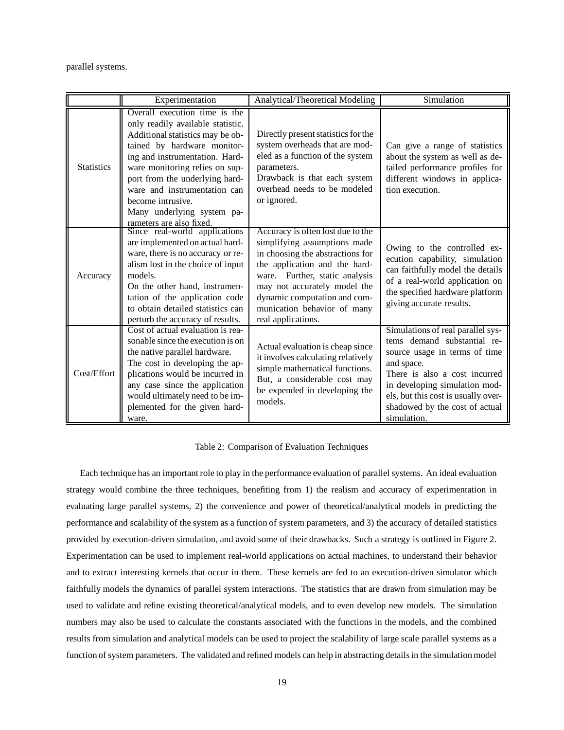parallel systems.

|                   | Experimentation                                                                                                                                                                                                                                                                                                                                            | Analytical/Theoretical Modeling                                                                                                                                                                                                                                                               | Simulation                                                                                                                                                                                                                                                                |
|-------------------|------------------------------------------------------------------------------------------------------------------------------------------------------------------------------------------------------------------------------------------------------------------------------------------------------------------------------------------------------------|-----------------------------------------------------------------------------------------------------------------------------------------------------------------------------------------------------------------------------------------------------------------------------------------------|---------------------------------------------------------------------------------------------------------------------------------------------------------------------------------------------------------------------------------------------------------------------------|
| <b>Statistics</b> | Overall execution time is the<br>only readily available statistic.<br>Additional statistics may be ob-<br>tained by hardware monitor-<br>ing and instrumentation. Hard-<br>ware monitoring relies on sup-<br>port from the underlying hard-<br>ware and instrumentation can<br>become intrusive.<br>Many underlying system pa-<br>rameters are also fixed. | Directly present statistics for the<br>system overheads that are mod-<br>eled as a function of the system<br>parameters.<br>Drawback is that each system<br>overhead needs to be modeled<br>or ignored.                                                                                       | Can give a range of statistics<br>about the system as well as de-<br>tailed performance profiles for<br>different windows in applica-<br>tion execution.                                                                                                                  |
| Accuracy          | Since real-world applications<br>are implemented on actual hard-<br>ware, there is no accuracy or re-<br>alism lost in the choice of input<br>models.<br>On the other hand, instrumen-<br>tation of the application code<br>to obtain detailed statistics can<br>perturb the accuracy of results.                                                          | Accuracy is often lost due to the<br>simplifying assumptions made<br>in choosing the abstractions for<br>the application and the hard-<br>ware. Further, static analysis<br>may not accurately model the<br>dynamic computation and com-<br>munication behavior of many<br>real applications. | Owing to the controlled ex-<br>ecution capability, simulation<br>can faithfully model the details<br>of a real-world application on<br>the specified hardware platform<br>giving accurate results.                                                                        |
| Cost/Effort       | Cost of actual evaluation is rea-<br>sonable since the execution is on<br>the native parallel hardware.<br>The cost in developing the ap-<br>plications would be incurred in<br>any case since the application<br>would ultimately need to be im-<br>plemented for the given hard-<br>ware.                                                                | Actual evaluation is cheap since<br>it involves calculating relatively<br>simple mathematical functions.<br>But, a considerable cost may<br>be expended in developing the<br>models.                                                                                                          | Simulations of real parallel sys-<br>tems demand substantial re-<br>source usage in terms of time<br>and space.<br>There is also a cost incurred<br>in developing simulation mod-<br>els, but this cost is usually over-<br>shadowed by the cost of actual<br>simulation. |

#### Table 2: Comparison of Evaluation Techniques

Each technique has an important role to play in the performance evaluation of parallel systems. An ideal evaluation strategy would combine the three techniques, benefiting from 1) the realism and accuracy of experimentation in evaluating large parallel systems, 2) the convenience and power of theoretical/analytical models in predicting the performance and scalability of the system as a function of system parameters, and 3) the accuracy of detailed statistics provided by execution-driven simulation, and avoid some of their drawbacks. Such a strategy is outlined in Figure 2. Experimentation can be used to implement real-world applications on actual machines, to understand their behavior and to extract interesting kernels that occur in them. These kernels are fed to an execution-driven simulator which faithfully models the dynamics of parallel system interactions. The statistics that are drawn from simulation may be used to validate and refine existing theoretical/analytical models, and to even develop new models. The simulation numbers may also be used to calculate the constants associated with the functions in the models, and the combined results from simulation and analytical models can be used to project the scalability of large scale parallel systems as a function of system parameters. The validated and refined models can help in abstracting detailsin the simulationmodel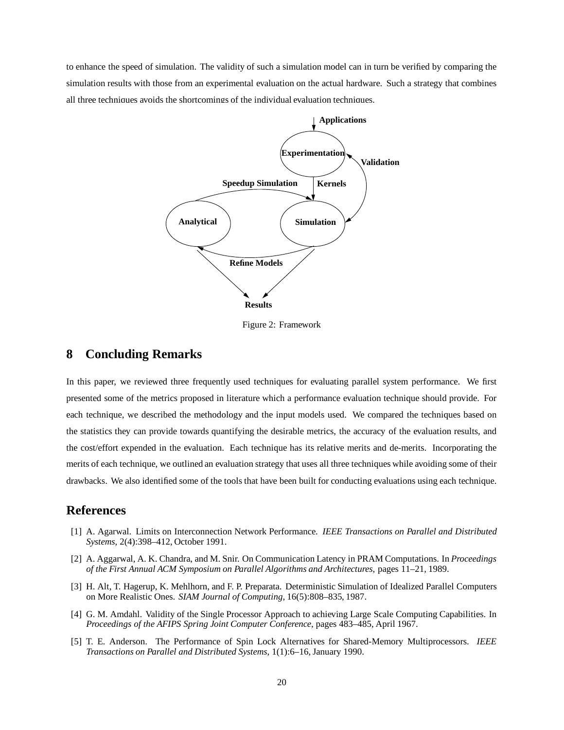to enhance the speed of simulation. The validity of such a simulation model can in turn be verified by comparing the simulation results with those from an experimental evaluation on the actual hardware. Such a strategy that combines all three techniques avoids the shortcomings of the individual evaluation techniques.



Figure 2: Framework

# **8 Concluding Remarks**

In this paper, we reviewed three frequently used techniques for evaluating parallel system performance. We first presented some of the metrics proposed in literature which a performance evaluation technique should provide. For each technique, we described the methodology and the input models used. We compared the techniques based on the statistics they can provide towards quantifying the desirable metrics, the accuracy of the evaluation results, and the cost/effort expended in the evaluation. Each technique has its relative merits and de-merits. Incorporating the merits of each technique, we outlined an evaluation strategy that uses all three techniques while avoiding some of their drawbacks. We also identified some of the tools that have been built for conducting evaluations using each technique.

# **References**

- [1] A. Agarwal. Limits on Interconnection Network Performance. *IEEE Transactions on Parallel and Distributed Systems*, 2(4):398–412, October 1991.
- [2] A. Aggarwal, A. K. Chandra, and M. Snir. On Communication Latency in PRAM Computations. In *Proceedings of the First Annual ACM Symposium on Parallel Algorithms and Architectures*, pages 11–21, 1989.
- [3] H. Alt, T. Hagerup, K. Mehlhorn, and F. P. Preparata. Deterministic Simulation of Idealized Parallel Computers on More Realistic Ones. *SIAM Journal of Computing*, 16(5):808–835, 1987.
- [4] G. M. Amdahl. Validity of the Single Processor Approach to achieving Large Scale Computing Capabilities. In *Proceedings of the AFIPS Spring Joint Computer Conference*, pages 483–485, April 1967.
- [5] T. E. Anderson. The Performance of Spin Lock Alternatives for Shared-Memory Multiprocessors. *IEEE Transactions on Parallel and Distributed Systems*, 1(1):6–16, January 1990.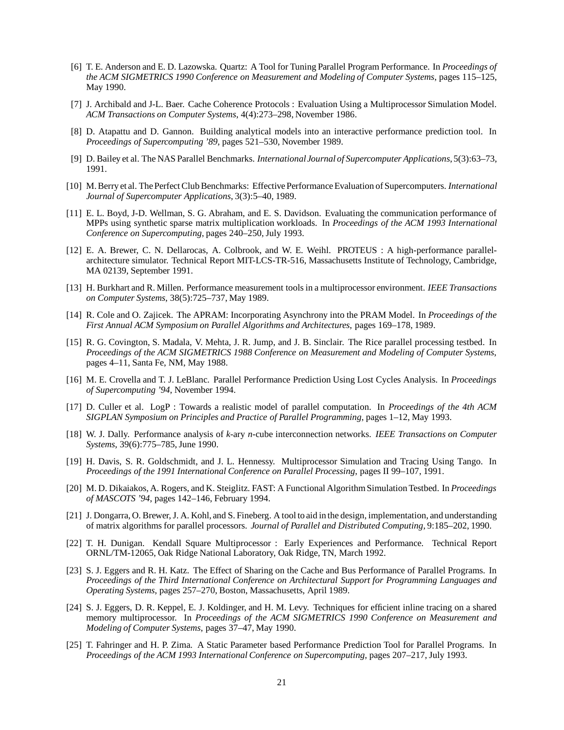- [6] T. E. Anderson and E. D. Lazowska. Quartz: A Tool for Tuning Parallel Program Performance. In *Proceedings of the ACM SIGMETRICS 1990 Conference on Measurement and Modeling of Computer Systems*, pages 115–125, May 1990.
- [7] J. Archibald and J-L. Baer. Cache Coherence Protocols : Evaluation Using a Multiprocessor Simulation Model. *ACM Transactions on Computer Systems*, 4(4):273–298, November 1986.
- [8] D. Atapattu and D. Gannon. Building analytical models into an interactive performance prediction tool. In *Proceedings of Supercomputing '89*, pages 521–530, November 1989.
- [9] D. Bailey et al. The NAS Parallel Benchmarks. *International Journal of Supercomputer Applications*, 5(3):63–73, 1991.
- [10] M. Berry et al. The Perfect Club Benchmarks: Effective Performance Evaluation of Supercomputers. *International Journal of Supercomputer Applications*, 3(3):5–40, 1989.
- [11] E. L. Boyd, J-D. Wellman, S. G. Abraham, and E. S. Davidson. Evaluating the communication performance of MPPs using synthetic sparse matrix multiplication workloads. In *Proceedings of the ACM 1993 International Conference on Supercomputing*, pages 240–250, July 1993.
- [12] E. A. Brewer, C. N. Dellarocas, A. Colbrook, and W. E. Weihl. PROTEUS : A high-performance parallelarchitecture simulator. Technical Report MIT-LCS-TR-516, Massachusetts Institute of Technology, Cambridge, MA 02139, September 1991.
- [13] H. Burkhart and R. Millen. Performance measurement tools in a multiprocessor environment. *IEEE Transactions on Computer Systems*, 38(5):725–737, May 1989.
- [14] R. Cole and O. Zajicek. The APRAM: Incorporating Asynchrony into the PRAM Model. In *Proceedings of the First Annual ACM Symposium on Parallel Algorithms and Architectures*, pages 169–178, 1989.
- [15] R. G. Covington, S. Madala, V. Mehta, J. R. Jump, and J. B. Sinclair. The Rice parallel processing testbed. In *Proceedings of the ACM SIGMETRICS 1988 Conference on Measurement and Modeling of Computer Systems*, pages 4–11, Santa Fe, NM, May 1988.
- [16] M. E. Crovella and T. J. LeBlanc. Parallel Performance Prediction Using Lost Cycles Analysis. In *Proceedings of Supercomputing '94*, November 1994.
- [17] D. Culler et al. LogP : Towards a realistic model of parallel computation. In *Proceedings of the 4th ACM SIGPLAN Symposium on Principles and Practice of Parallel Programming*, pages 1–12, May 1993.
- [18] W. J. Dally. Performance analysis of *k*-ary *n*-cube interconnection networks. *IEEE Transactions on Computer Systems*, 39(6):775–785, June 1990.
- [19] H. Davis, S. R. Goldschmidt, and J. L. Hennessy. Multiprocessor Simulation and Tracing Using Tango. In *Proceedings of the 1991 International Conference on Parallel Processing*, pages II 99–107, 1991.
- [20] M. D. Dikaiakos, A. Rogers, and K. Steiglitz. FAST: A Functional AlgorithmSimulationTestbed. In *Proceedings of MASCOTS '94*, pages 142–146, February 1994.
- [21] J. Dongarra, O. Brewer, J. A. Kohl, and S. Fineberg. A tool to aid in the design, implementation, and understanding of matrix algorithms for parallel processors. *Journal of Parallel and Distributed Computing*, 9:185–202, 1990.
- [22] T. H. Dunigan. Kendall Square Multiprocessor : Early Experiences and Performance. Technical Report ORNL/TM-12065, Oak Ridge National Laboratory, Oak Ridge, TN, March 1992.
- [23] S. J. Eggers and R. H. Katz. The Effect of Sharing on the Cache and Bus Performance of Parallel Programs. In *Proceedings of the Third International Conference on Architectural Support for Programming Languages and Operating Systems*, pages 257–270, Boston, Massachusetts, April 1989.
- [24] S. J. Eggers, D. R. Keppel, E. J. Koldinger, and H. M. Levy. Techniques for efficient inline tracing on a shared memory multiprocessor. In *Proceedings of the ACM SIGMETRICS 1990 Conference on Measurement and Modeling of Computer Systems*, pages 37–47, May 1990.
- [25] T. Fahringer and H. P. Zima. A Static Parameter based Performance Prediction Tool for Parallel Programs. In *Proceedings of the ACM 1993 International Conference on Supercomputing*, pages 207–217, July 1993.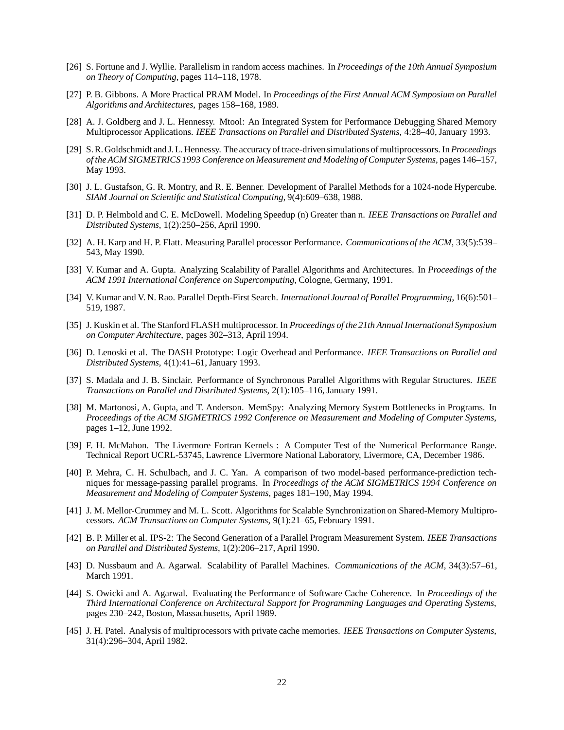- [26] S. Fortune and J. Wyllie. Parallelism in random access machines. In *Proceedings of the 10th Annual Symposium on Theory of Computing*, pages 114–118, 1978.
- [27] P. B. Gibbons. A More Practical PRAM Model. In *Proceedings of the First Annual ACM Symposium on Parallel Algorithms and Architectures*, pages 158–168, 1989.
- [28] A. J. Goldberg and J. L. Hennessy. Mtool: An Integrated System for Performance Debugging Shared Memory Multiprocessor Applications. *IEEE Transactions on Parallel and Distributed Systems*, 4:28–40, January 1993.
- [29] S.R. Goldschmidt and J.L. Hennessy. The accuracy oftrace-driven simulations ofmultiprocessors. In*Proceedings of the ACM SIGMETRICS 1993 Conference on Measurement and Modelingof Computer Systems*, pages 146–157, May 1993.
- [30] J. L. Gustafson, G. R. Montry, and R. E. Benner. Development of Parallel Methods for a 1024-node Hypercube. *SIAM Journal on Scientific and Statistical Computing*, 9(4):609–638, 1988.
- [31] D. P. Helmbold and C. E. McDowell. Modeling Speedup (n) Greater than n. *IEEE Transactions on Parallel and Distributed Systems*, 1(2):250–256, April 1990.
- [32] A. H. Karp and H. P. Flatt. Measuring Parallel processor Performance. *Communications of the ACM*, 33(5):539– 543, May 1990.
- [33] V. Kumar and A. Gupta. Analyzing Scalability of Parallel Algorithms and Architectures. In *Proceedings of the ACM 1991 International Conference on Supercomputing*, Cologne, Germany, 1991.
- [34] V. Kumar and V. N. Rao. Parallel Depth-First Search. *International Journal of Parallel Programming*, 16(6):501– 519, 1987.
- [35] J. Kuskin et al. The Stanford FLASH multiprocessor. In *Proceedings of the 21th Annual InternationalSymposium on Computer Architecture*, pages 302–313, April 1994.
- [36] D. Lenoski et al. The DASH Prototype: Logic Overhead and Performance. *IEEE Transactions on Parallel and Distributed Systems*, 4(1):41–61, January 1993.
- [37] S. Madala and J. B. Sinclair. Performance of Synchronous Parallel Algorithms with Regular Structures. *IEEE Transactions on Parallel and Distributed Systems*, 2(1):105–116, January 1991.
- [38] M. Martonosi, A. Gupta, and T. Anderson. MemSpy: Analyzing Memory System Bottlenecks in Programs. In *Proceedings of the ACM SIGMETRICS 1992 Conference on Measurement and Modeling of Computer Systems*, pages 1–12, June 1992.
- [39] F. H. McMahon. The Livermore Fortran Kernels : A Computer Test of the Numerical Performance Range. Technical Report UCRL-53745, Lawrence Livermore National Laboratory, Livermore, CA, December 1986.
- [40] P. Mehra, C. H. Schulbach, and J. C. Yan. A comparison of two model-based performance-prediction techniques for message-passing parallel programs. In *Proceedings of the ACM SIGMETRICS 1994 Conference on Measurement and Modeling of Computer Systems*, pages 181–190, May 1994.
- [41] J. M. Mellor-Crummey and M. L. Scott. Algorithms for Scalable Synchronization on Shared-Memory Multiprocessors. *ACM Transactions on Computer Systems*, 9(1):21–65, February 1991.
- [42] B. P. Miller et al. IPS-2: The Second Generation of a Parallel Program Measurement System. *IEEE Transactions on Parallel and Distributed Systems*, 1(2):206–217, April 1990.
- [43] D. Nussbaum and A. Agarwal. Scalability of Parallel Machines. *Communications of the ACM*, 34(3):57–61, March 1991.
- [44] S. Owicki and A. Agarwal. Evaluating the Performance of Software Cache Coherence. In *Proceedings of the Third International Conference on Architectural Support for Programming Languages and Operating Systems*, pages 230–242, Boston, Massachusetts, April 1989.
- [45] J. H. Patel. Analysis of multiprocessors with private cache memories. *IEEE Transactions on Computer Systems*, 31(4):296–304, April 1982.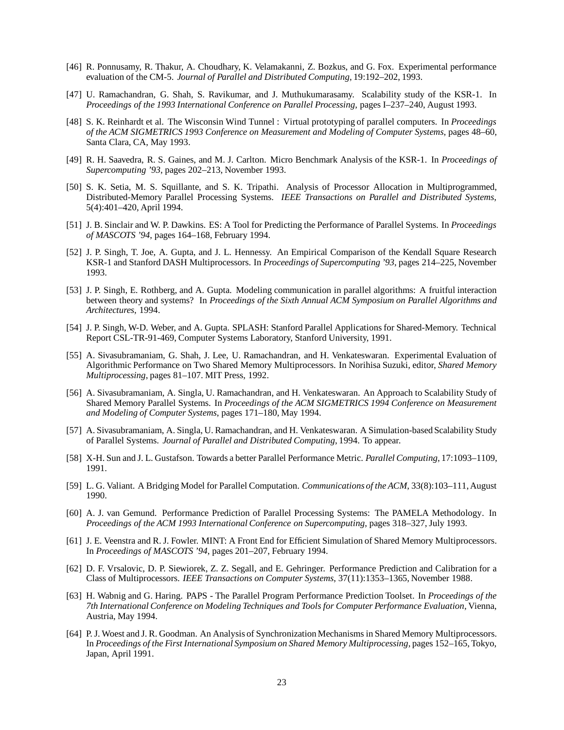- [46] R. Ponnusamy, R. Thakur, A. Choudhary, K. Velamakanni, Z. Bozkus, and G. Fox. Experimental performance evaluation of the CM-5. *Journal of Parallel and Distributed Computing*, 19:192–202, 1993.
- [47] U. Ramachandran, G. Shah, S. Ravikumar, and J. Muthukumarasamy. Scalability study of the KSR-1. In *Proceedings of the 1993 International Conference on Parallel Processing*, pages I–237–240, August 1993.
- [48] S. K. Reinhardt et al. The Wisconsin Wind Tunnel : Virtual prototyping of parallel computers. In *Proceedings of the ACM SIGMETRICS 1993 Conference on Measurement and Modeling of Computer Systems*, pages 48–60, Santa Clara, CA, May 1993.
- [49] R. H. Saavedra, R. S. Gaines, and M. J. Carlton. Micro Benchmark Analysis of the KSR-1. In *Proceedings of Supercomputing '93*, pages 202–213, November 1993.
- [50] S. K. Setia, M. S. Squillante, and S. K. Tripathi. Analysis of Processor Allocation in Multiprogrammed, Distributed-Memory Parallel Processing Systems. *IEEE Transactions on Parallel and Distributed Systems*, 5(4):401–420, April 1994.
- [51] J. B. Sinclair and W. P. Dawkins. ES: A Tool for Predicting the Performance of Parallel Systems. In *Proceedings of MASCOTS '94*, pages 164–168, February 1994.
- [52] J. P. Singh, T. Joe, A. Gupta, and J. L. Hennessy. An Empirical Comparison of the Kendall Square Research KSR-1 and Stanford DASH Multiprocessors. In *Proceedings of Supercomputing '93*, pages 214–225, November 1993.
- [53] J. P. Singh, E. Rothberg, and A. Gupta. Modeling communication in parallel algorithms: A fruitful interaction between theory and systems? In *Proceedings of the Sixth Annual ACM Symposium on Parallel Algorithms and Architectures*, 1994.
- [54] J. P. Singh, W-D. Weber, and A. Gupta. SPLASH: Stanford Parallel Applications for Shared-Memory. Technical Report CSL-TR-91-469, Computer Systems Laboratory, Stanford University, 1991.
- [55] A. Sivasubramaniam, G. Shah, J. Lee, U. Ramachandran, and H. Venkateswaran. Experimental Evaluation of Algorithmic Performance on Two Shared Memory Multiprocessors. In Norihisa Suzuki, editor, *Shared Memory Multiprocessing*, pages 81–107. MIT Press, 1992.
- [56] A. Sivasubramaniam, A. Singla, U. Ramachandran, and H. Venkateswaran. An Approach to Scalability Study of Shared Memory Parallel Systems. In *Proceedings of the ACM SIGMETRICS 1994 Conference on Measurement and Modeling of Computer Systems*, pages 171–180, May 1994.
- [57] A. Sivasubramaniam, A. Singla, U. Ramachandran, and H. Venkateswaran. A Simulation-based Scalability Study of Parallel Systems. *Journal of Parallel and Distributed Computing*, 1994. To appear.
- [58] X-H. Sun and J. L. Gustafson. Towards a better Parallel Performance Metric. *Parallel Computing*, 17:1093–1109, 1991.
- [59] L. G. Valiant. A Bridging Model for Parallel Computation. *Communications of the ACM*, 33(8):103–111, August 1990.
- [60] A. J. van Gemund. Performance Prediction of Parallel Processing Systems: The PAMELA Methodology. In *Proceedings of the ACM 1993 International Conference on Supercomputing*, pages 318–327, July 1993.
- [61] J. E. Veenstra and R. J. Fowler. MINT: A Front End for Efficient Simulation of Shared Memory Multiprocessors. In *Proceedings of MASCOTS '94*, pages 201–207, February 1994.
- [62] D. F. Vrsalovic, D. P. Siewiorek, Z. Z. Segall, and E. Gehringer. Performance Prediction and Calibration for a Class of Multiprocessors. *IEEE Transactions on Computer Systems*, 37(11):1353–1365, November 1988.
- [63] H. Wabnig and G. Haring. PAPS The Parallel Program Performance Prediction Toolset. In *Proceedings of the 7th International Conference on Modeling Techniques and Tools for Computer Performance Evaluation*, Vienna, Austria, May 1994.
- [64] P. J. Woest and J. R. Goodman. An Analysis of Synchronization Mechanisms in Shared Memory Multiprocessors. In *Proceedings of the First International Symposium on Shared Memory Multiprocessing*, pages 152–165, Tokyo, Japan, April 1991.